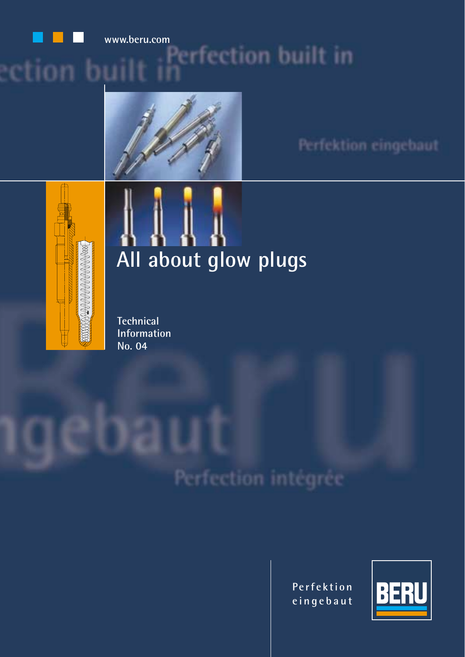

### **www.beru.com**tion bi



Perfektion eingebaut



# **All about glow plugs**

**Technical Information No. 04**

Perfection intégrée

**Perfektion eingebaut**

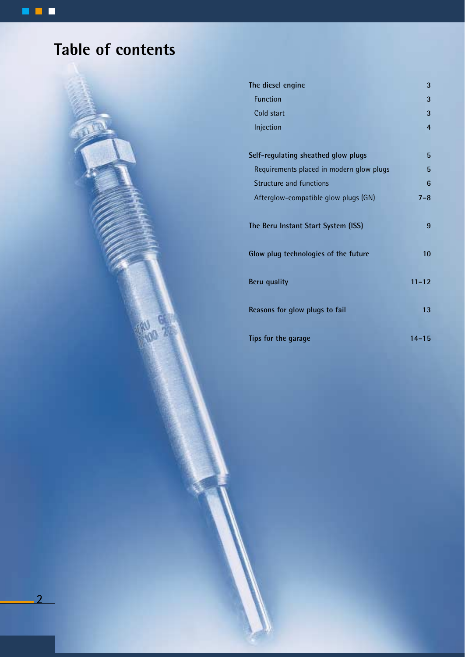### **Table of contents**



| The diesel engine                        | 3               |
|------------------------------------------|-----------------|
| <b>Function</b>                          | 3               |
| Cold start                               | 3               |
| Injection                                | $\overline{4}$  |
| Self-regulating sheathed glow plugs      | 5               |
| Requirements placed in modern glow plugs | 5               |
| <b>Structure and functions</b>           | 6               |
| Afterglow-compatible glow plugs (GN)     | $7 - 8$         |
| The Beru Instant Start System (ISS)      | 9               |
| Glow plug technologies of the future     | 10 <sup>1</sup> |
| <b>Beru quality</b>                      | $11 - 12$       |
| Reasons for glow plugs to fail           | 13              |
| Tips for the garage                      | $14 - 15$       |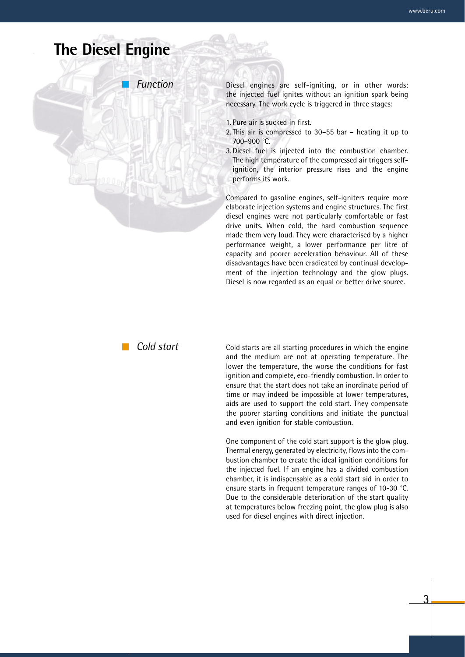### **The Diesel Engine**

*Function*

Diesel engines are self-igniting, or in other words: the injected fuel ignites without an ignition spark being necessary. The work cycle is triggered in three stages:

- 1. Pure air is sucked in first.
- 2. This air is compressed to 30–55 bar heating it up to 700–900 °C.
- 3. Diesel fuel is injected into the combustion chamber. The high temperature of the compressed air triggers selfignition, the interior pressure rises and the engine performs its work.

Compared to gasoline engines, self-igniters require more elaborate injection systems and engine structures. The first diesel engines were not particularly comfortable or fast drive units. When cold, the hard combustion sequence made them very loud. They were characterised by a higher performance weight, a lower performance per litre of capacity and poorer acceleration behaviour. All of these disadvantages have been eradicated by continual development of the injection technology and the glow plugs. Diesel is now regarded as an equal or better drive source.

#### *Cold start*

Cold starts are all starting procedures in which the engine and the medium are not at operating temperature. The lower the temperature, the worse the conditions for fast ignition and complete, eco-friendly combustion. In order to ensure that the start does not take an inordinate period of time or may indeed be impossible at lower temperatures, aids are used to support the cold start. They compensate the poorer starting conditions and initiate the punctual and even ignition for stable combustion.

One component of the cold start support is the glow plug. Thermal energy, generated by electricity, flows into the combustion chamber to create the ideal ignition conditions for the injected fuel. If an engine has a divided combustion chamber, it is indispensable as a cold start aid in order to ensure starts in frequent temperature ranges of 10-30 °C. Due to the considerable deterioration of the start quality at temperatures below freezing point, the glow plug is also used for diesel engines with direct injection.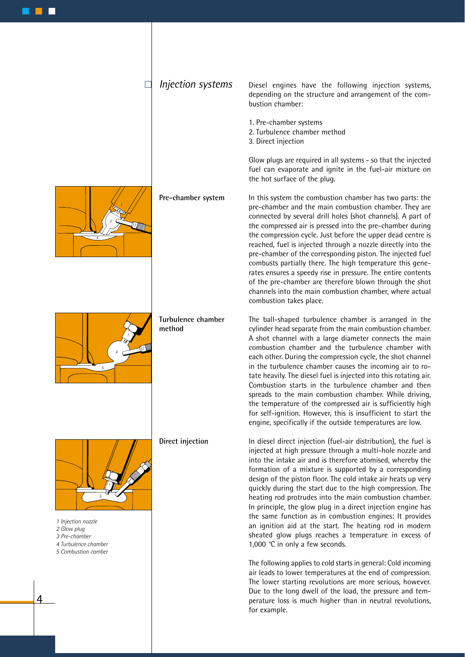*Injection systems*

 $\Box$ 

Diesel engines have the following injection systems, depending on the structure and arrangement of the combustion chamber:

- 1. Pre-chamber systems
- 2. Turbulence chamber method
- 3. Direct injection

Glow plugs are required in all systems - so that the injected fuel can evaporate and ignite in the fuel-air mixture on the hot surface of the plug.

In this system the combustion chamber has two parts: the pre-chamber and the main combustion chamber. They are connected by several drill holes (shot channels). A part of the compressed air is pressed into the pre-chamber during the compression cycle. Just before the upper dead centre is reached, fuel is injected through a nozzle directly into the pre-chamber of the corresponding piston. The injected fuel combusts partially there. The high temperature this generates ensures a speedy rise in pressure. The entire contents of the pre-chamber are therefore blown through the shot channels into the main combustion chamber, where actual combustion takes place.

The ball-shaped turbulence chamber is arranged in the cylinder head separate from the main combustion chamber. A shot channel with a large diameter connects the main combustion chamber and the turbulence chamber with each other. During the compression cycle, the shot channel in the turbulence chamber causes the incoming air to rotate heavily. The diesel fuel is injected into this rotating air. Combustion starts in the turbulence chamber and then spreads to the main combustion chamber. While driving, the temperature of the compressed air is sufficiently high for self-ignition. However, this is insufficient to start the engine, specifically if the outside temperatures are low.

In diesel direct injection (fuel-air distribution), the fuel is injected at high pressure through a multi-hole nozzle and into the intake air and is therefore atomised, whereby the formation of a mixture is supported by a corresponding design of the piston floor. The cold intake air heats up very quickly during the start due to the high compression. The heating rod protrudes into the main combustion chamber. In principle, the glow plug in a direct injection engine has the same function as in combustion engines: It provides an ignition aid at the start. The heating rod in modern sheated glow plugs reaches a temperature in excess of 1,000 °C in only a few seconds.

The following applies to cold starts in general: Cold incoming air leads to lower temperatures at the end of compression. The lower starting revolutions are more serious, however. Due to the long dwell of the load, the pressure and temperature loss is much higher than in neutral revolutions, for example.



**Pre-chamber system**



**Turbulence chamber method**

**Direct injection**



*1 Injection nozzle*

- *2 Glow plug*
- *3 Pre-chamber*
- *4 Turbulence chamber*
- *5 Combustion camber*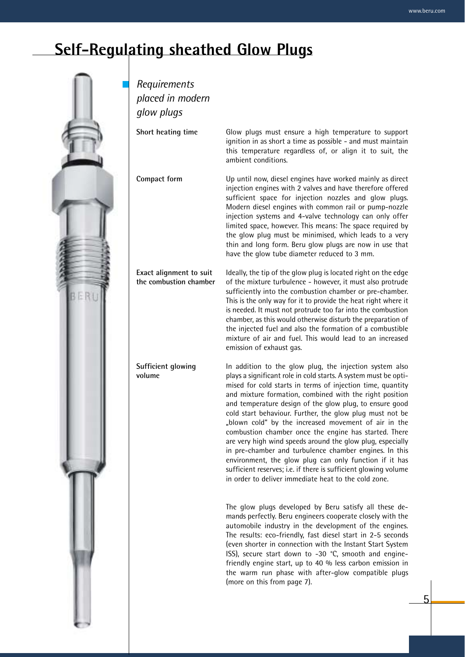5

### **Self-Regulating sheathed Glow Plugs**



*Requirements placed in modern glow plugs* **Short heating time** Glow plugs must ensure a high temperature to support ignition in as short a time as possible - and must maintain this temperature regardless of, or align it to suit, the ambient conditions.

**Compact form**

**Exact alignment to suit the combustion chamber**

**Sufficient glowing** 

**volume**

sufficient space for injection nozzles and glow plugs. Modern diesel engines with common rail or pump-nozzle injection systems and 4-valve technology can only offer limited space, however. This means: The space required by the glow plug must be minimised, which leads to a very thin and long form. Beru glow plugs are now in use that have the glow tube diameter reduced to 3 mm.

Up until now, diesel engines have worked mainly as direct injection engines with 2 valves and have therefore offered

Ideally, the tip of the glow plug is located right on the edge of the mixture turbulence - however, it must also protrude sufficiently into the combustion chamber or pre-chamber. This is the only way for it to provide the heat right where it is needed. It must not protrude too far into the combustion chamber, as this would otherwise disturb the preparation of the injected fuel and also the formation of a combustible mixture of air and fuel. This would lead to an increased emission of exhaust gas.

In addition to the glow plug, the injection system also plays a significant role in cold starts. A system must be optimised for cold starts in terms of injection time, quantity and mixture formation, combined with the right position and temperature design of the glow plug, to ensure good cold start behaviour. Further, the glow plug must not be "blown cold" by the increased movement of air in the combustion chamber once the engine has started. There are very high wind speeds around the glow plug, especially in pre-chamber and turbulence chamber engines. In this environment, the glow plug can only function if it has sufficient reserves; i.e. if there is sufficient glowing volume in order to deliver immediate heat to the cold zone.

The glow plugs developed by Beru satisfy all these demands perfectly. Beru engineers cooperate closely with the automobile industry in the development of the engines. The results: eco-friendly, fast diesel start in 2-5 seconds (even shorter in connection with the Instant Start System ISS), secure start down to -30 °C, smooth and enginefriendly engine start, up to 40 % less carbon emission in the warm run phase with after-glow compatible plugs (more on this from page 7).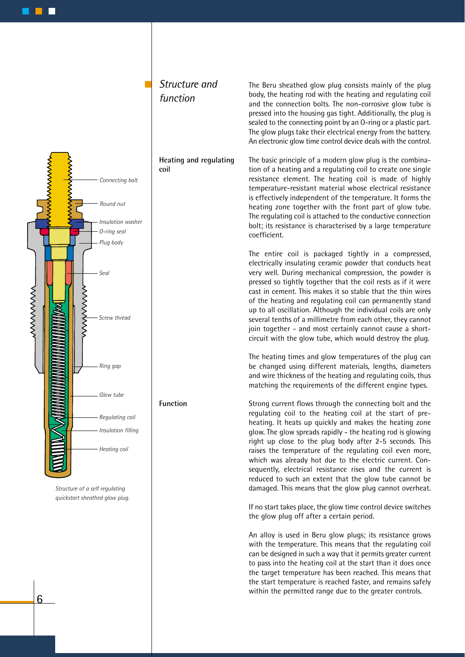

*Structure and* 

*function*

*Structure of a self regulating quickstart sheathed glow plug.*

6

#### The Beru sheathed glow plug consists mainly of the plug body, the heating rod with the heating and regulating coil and the connection bolts. The non-corrosive glow tube is pressed into the housing gas tight. Additionally, the plug is sealed to the connecting point by an O-ring or a plastic part. The glow plugs take their electrical energy from the battery. An electronic glow time control device deals with the control.

The basic principle of a modern glow plug is the combination of a heating and a regulating coil to create one single resistance element. The heating coil is made of highly temperature-resistant material whose electrical resistance is effectively independent of the temperature. It forms the heating zone together with the front part of glow tube. The regulating coil is attached to the conductive connection bolt; its resistance is characterised by a large temperature coefficient.

The entire coil is packaged tightly in a compressed, electrically insulating ceramic powder that conducts heat very well. During mechanical compression, the powder is pressed so tightly together that the coil rests as if it were cast in cement. This makes it so stable that the thin wires of the heating and regulating coil can permanently stand up to all oscillation. Although the individual coils are only several tenths of a millimetre from each other, they cannot join together - and most certainly cannot cause a shortcircuit with the glow tube, which would destroy the plug.

The heating times and glow temperatures of the plug can be changed using different materials, lengths, diameters and wire thickness of the heating and regulating coils, thus matching the requirements of the different engine types.

Strong current flows through the connecting bolt and the regulating coil to the heating coil at the start of preheating. It heats up quickly and makes the heating zone glow. The glow spreads rapidly - the heating rod is glowing right up close to the plug body after 2-5 seconds. This raises the temperature of the regulating coil even more, which was already hot due to the electric current. Consequently, electrical resistance rises and the current is reduced to such an extent that the glow tube cannot be damaged. This means that the glow plug cannot overheat.

If no start takes place, the glow time control device switches the glow plug off after a certain period.

An alloy is used in Beru glow plugs; its resistance grows with the temperature. This means that the regulating coil can be designed in such a way that it permits greater current to pass into the heating coil at the start than it does once the target temperature has been reached. This means that the start temperature is reached faster, and remains safely within the permitted range due to the greater controls.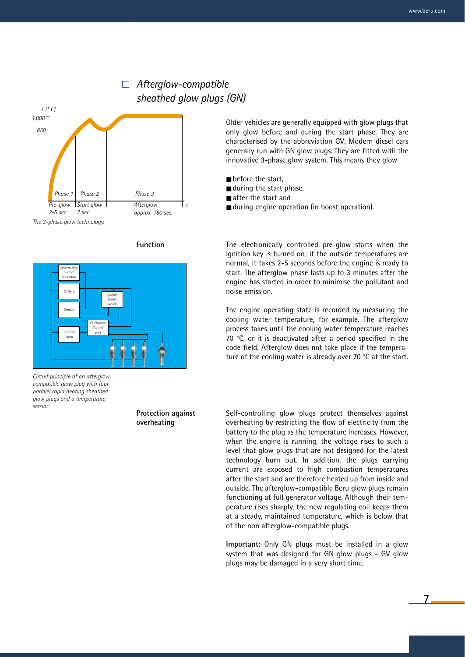#### *Afterglow-compatible sheathed glow plugs (GN)*



 $\Box$ 

*Circuit principle of an afterglowcompatible glow plug with four parallel rapid heating sheathed glow plugs and a temperature sensor.*

**Protection against overheating**

Older vehicles are generally equipped with glow plugs that only glow before and during the start phase. They are characterised by the abbreviation GV. Modern diesel cars generally run with GN glow plugs. They are fitted with the innovative 3-phase glow system. This means they glow

- before the start,
- during the start phase,
- after the start and
- during engine operation (in boost operation).

The electronically controlled pre-glow starts when the ignition key is turned on; if the outside temperatures are normal, it takes 2-5 seconds before the engine is ready to start. The afterglow phase lasts up to 3 minutes after the engine has started in order to minimise the pollutant and noise emission.

The engine operating state is recorded by measuring the cooling water temperature, for example. The afterglow process takes until the cooling water temperature reaches 70 °C, or it is deactivated after a period specified in the code field. Afterglow does not take place if the temperature of the cooling water is already over 70 °C at the start.

Self-controlling glow plugs protect themselves against overheating by restricting the flow of electricity from the battery to the plug as the temperature increases. However, when the engine is running, the voltage rises to such a level that glow plugs that are not designed for the latest technology burn out. In addition, the plugs carrying current are exposed to high combustion temperatures after the start and are therefore heated up from inside and outside. The afterglow-compatible Beru glow plugs remain functioning at full generator voltage. Although their temperature rises sharply, the new regulating coil keeps them at a steady, maintained temperature, which is below that of the non afterglow-compatible plugs.

**Important:** Only GN plugs must be installed in a glow system that was designed for GN glow plugs - GV glow plugs may be damaged in a very short time.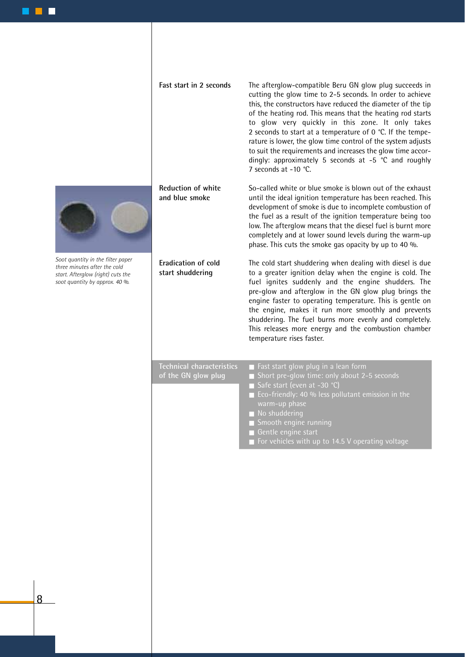

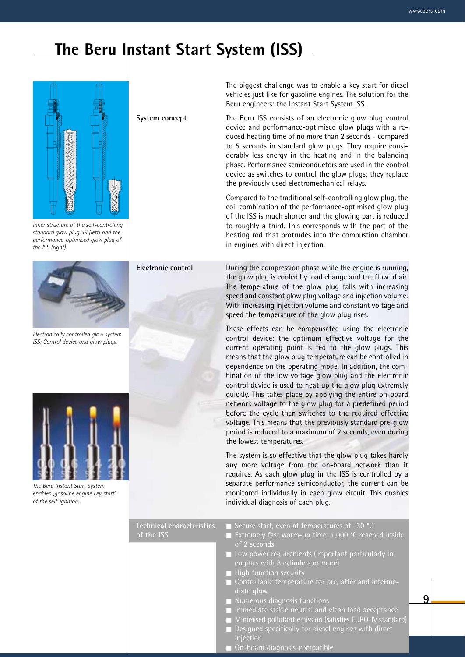### **The Beru Instant Start System (ISS)**



*Inner structure of the self-controlling standard glow plug SR (left) and the performance-optimised glow plug of the ISS (right).*



*Electronically controlled glow system ISS: Control device and glow plugs.*



*The Beru Instant Start System enables "gasoline engine key start" of the self-ignition.*

**System concept**

The biggest challenge was to enable a key start for diesel vehicles just like for gasoline engines. The solution for the Beru engineers: the Instant Start System ISS.

The Beru ISS consists of an electronic glow plug control device and performance-optimised glow plugs with a reduced heating time of no more than 2 seconds - compared to 5 seconds in standard glow plugs. They require considerably less energy in the heating and in the balancing phase. Performance semiconductors are used in the control device as switches to control the glow plugs; they replace the previously used electromechanical relays.

Compared to the traditional self-controlling glow plug, the coil combination of the performance-optimised glow plug of the ISS is much shorter and the glowing part is reduced to roughly a third. This corresponds with the part of the heating rod that protrudes into the combustion chamber in engines with direct injection.

**Electronic control**

During the compression phase while the engine is running, the glow plug is cooled by load change and the flow of air. The temperature of the glow plug falls with increasing speed and constant glow plug voltage and injection volume. With increasing injection volume and constant voltage and speed the temperature of the glow plug rises.

These effects can be compensated using the electronic control device: the optimum effective voltage for the current operating point is fed to the glow plugs. This means that the glow plug temperature can be controlled in dependence on the operating mode. In addition, the combination of the low voltage glow plug and the electronic control device is used to heat up the glow plug extremely quickly. This takes place by applying the entire on-board network voltage to the glow plug for a predefined period before the cycle then switches to the required effective voltage. This means that the previously standard pre-glow period is reduced to a maximum of 2 seconds, even during the lowest temperatures.

The system is so effective that the glow plug takes hardly any more voltage from the on-board network than it requires. As each glow plug in the ISS is controlled by a separate performance semiconductor, the current can be monitored individually in each glow circuit. This enables individual diagnosis of each plug.

**Technical characteristics of the ISS**

- Extremely fast warm-up time: 1,000 °C reached inside of 2 seconds
- Low power requirements (important particularly in engines with 8 cylinders or more)
- 
- diate glow

- Numerous diagnosis functions
- Immediate stable neutral and clean load acceptance
- Minimised pollutant emission (satisfies EURO-IV standard)
	- Designed specifically for diesel engines with direct
- On-board diagnosis-compatible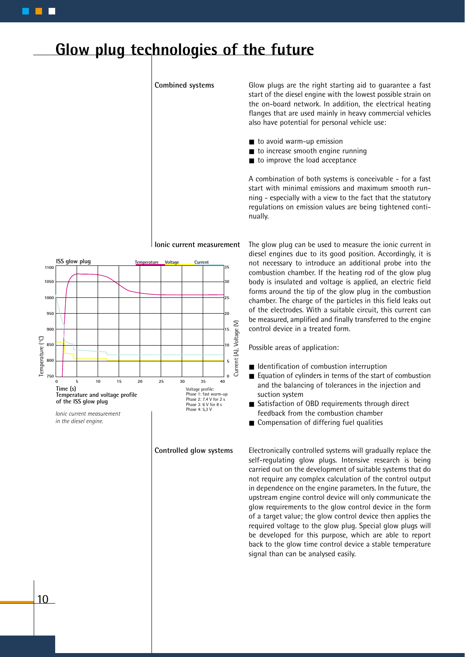### **Glow plug technologies of the future**

**Combined systems**

Glow plugs are the right starting aid to guarantee a fast start of the diesel engine with the lowest possible strain on the on-board network. In addition, the electrical heating flanges that are used mainly in heavy commercial vehicles also have potential for personal vehicle use:

- to avoid warm-up emission
- to increase smooth engine running
- to improve the load acceptance

A combination of both systems is conceivable - for a fast start with minimal emissions and maximum smooth running - especially with a view to the fact that the statutory regulations on emission values are being tightened continually.



**Ionic current measurement** The glow plug can be used to measure the ionic current in diesel engines due to its good position. Accordingly, it is not necessary to introduce an additional probe into the combustion chamber. If the heating rod of the glow plug body is insulated and voltage is applied, an electric field forms around the tip of the glow plug in the combustion chamber. The charge of the particles in this field leaks out of the electrodes. With a suitable circuit, this current can

Possible areas of application:

control device in a treated form.

- Identification of combustion interruption
- Equation of cylinders in terms of the start of combustion and the balancing of tolerances in the injection and suction system

be measured, amplified and finally transferred to the engine

- Satisfaction of OBD requirements through direct feedback from the combustion chamber
- Compensation of differing fuel qualities

Electronically controlled systems will gradually replace the self-regulating glow plugs. Intensive research is being carried out on the development of suitable systems that do not require any complex calculation of the control output in dependence on the engine parameters. In the future, the upstream engine control device will only communicate the glow requirements to the glow control device in the form of a target value; the glow control device then applies the required voltage to the glow plug. Special glow plugs will be developed for this purpose, which are able to report back to the glow time control device a stable temperature signal than can be analysed easily.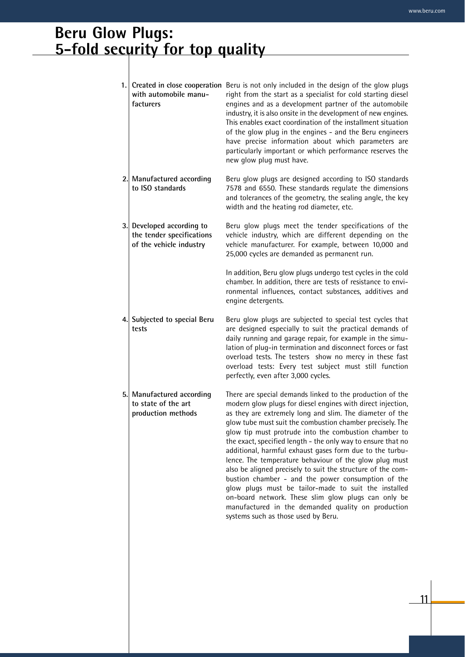### **Beru Glow Plugs: 5-fold security for top quality**

| 1. | with automobile manu-<br>facturers                                                | Created in close cooperation Beru is not only included in the design of the glow plugs<br>right from the start as a specialist for cold starting diesel<br>engines and as a development partner of the automobile<br>industry, it is also onsite in the development of new engines.<br>This enables exact coordination of the installment situation<br>of the glow plug in the engines - and the Beru engineers<br>have precise information about which parameters are<br>particularly important or which performance reserves the<br>new glow plug must have.                                                                                                                                                                                                                                                                    |
|----|-----------------------------------------------------------------------------------|-----------------------------------------------------------------------------------------------------------------------------------------------------------------------------------------------------------------------------------------------------------------------------------------------------------------------------------------------------------------------------------------------------------------------------------------------------------------------------------------------------------------------------------------------------------------------------------------------------------------------------------------------------------------------------------------------------------------------------------------------------------------------------------------------------------------------------------|
|    | 2. Manufactured according<br>to ISO standards                                     | Beru glow plugs are designed according to ISO standards<br>7578 and 6550. These standards regulate the dimensions<br>and tolerances of the geometry, the sealing angle, the key<br>width and the heating rod diameter, etc.                                                                                                                                                                                                                                                                                                                                                                                                                                                                                                                                                                                                       |
|    | 3. Developed according to<br>the tender specifications<br>of the vehicle industry | Beru glow plugs meet the tender specifications of the<br>vehicle industry, which are different depending on the<br>vehicle manufacturer. For example, between 10,000 and<br>25,000 cycles are demanded as permanent run.                                                                                                                                                                                                                                                                                                                                                                                                                                                                                                                                                                                                          |
|    |                                                                                   | In addition, Beru glow plugs undergo test cycles in the cold<br>chamber. In addition, there are tests of resistance to envi-<br>ronmental influences, contact substances, additives and<br>engine detergents.                                                                                                                                                                                                                                                                                                                                                                                                                                                                                                                                                                                                                     |
|    | 4. Subjected to special Beru<br>tests                                             | Beru glow plugs are subjected to special test cycles that<br>are designed especially to suit the practical demands of<br>daily running and garage repair, for example in the simu-<br>lation of plug-in termination and disconnect forces or fast<br>overload tests. The testers show no mercy in these fast<br>overload tests: Every test subject must still function<br>perfectly, even after 3,000 cycles.                                                                                                                                                                                                                                                                                                                                                                                                                     |
|    | 5. Manufactured according<br>to state of the art<br>production methods            | There are special demands linked to the production of the<br>modern glow plugs for diesel engines with direct injection,<br>as they are extremely long and slim. The diameter of the<br>glow tube must suit the combustion chamber precisely. The<br>glow tip must protrude into the combustion chamber to<br>the exact, specified length - the only way to ensure that no<br>additional, harmful exhaust gases form due to the turbu-<br>lence. The temperature behaviour of the glow plug must<br>also be aligned precisely to suit the structure of the com-<br>bustion chamber - and the power consumption of the<br>glow plugs must be tailor-made to suit the installed<br>on-board network. These slim glow plugs can only be<br>manufactured in the demanded quality on production<br>systems such as those used by Beru. |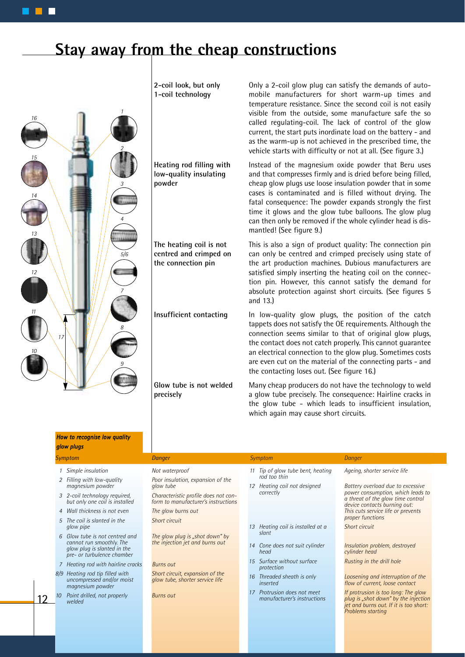### **Stay away from the cheap constructions**



12

**2-coil look, but only 1-coil technology**

**Heating rod filling with low-quality insulating powder**

**The heating coil is not centred and crimped on the connection pin**

**Insufficient contacting**

**Glow tube is not welded precisely**

Only a 2-coil glow plug can satisfy the demands of automobile manufacturers for short warm-up times and temperature resistance. Since the second coil is not easily visible from the outside, some manufacture safe the so called regulating-coil. The lack of control of the glow current, the start puts inordinate load on the battery - and as the warm-up is not achieved in the prescribed time, the vehicle starts with difficulty or not at all. (See figure 3.)

Instead of the magnesium oxide powder that Beru uses and that compresses firmly and is dried before being filled, cheap glow plugs use loose insulation powder that in some cases is contaminated and is filled without drying. The fatal consequence: The powder expands strongly the first time it glows and the glow tube balloons. The glow plug can then only be removed if the whole cylinder head is dismantled! (See figure 9.)

This is also a sign of product quality: The connection pin can only be centred and crimped precisely using state of the art production machines. Dubious manufacturers are satisfied simply inserting the heating coil on the connection pin. However, this cannot satisfy the demand for absolute protection against short circuits. (See figures 5 and 13.)

In low-quality glow plugs, the position of the catch tappets does not satisfy the OE requirements. Although the connection seems similar to that of original glow plugs, the contact does not catch properly. This cannot guarantee an electrical connection to the glow plug. Sometimes costs are even cut on the material of the connecting parts - and the contacting loses out. (See figure 16.)

Many cheap producers do not have the technology to weld a glow tube precisely. The consequence: Hairline cracks in the glow tube - which leads to insufficient insulation, which again may cause short circuits.

| How to recognise low quality<br>glow plugs                                                                              |                                                                             |                                                         |                                                                                                                                                   |
|-------------------------------------------------------------------------------------------------------------------------|-----------------------------------------------------------------------------|---------------------------------------------------------|---------------------------------------------------------------------------------------------------------------------------------------------------|
| <b>Symptom</b>                                                                                                          | Danger                                                                      | Symptom                                                 | Danger                                                                                                                                            |
| Simple insulation                                                                                                       | Not waterproof                                                              | Tip of glow tube bent, heating                          | Ageing, shorter service life                                                                                                                      |
| 2 Filling with low-quality<br>magnesium powder                                                                          | Poor insulation, expansion of the<br>glow tube                              | rod too thin<br>Heating coil not designed<br>12         | Battery overload due to excessive                                                                                                                 |
| 3 2-coil technology required,<br>but only one coil is installed                                                         | Characteristic profile does not con-<br>form to manufacturer's instructions | correctly                                               | power consumption, which leads to<br>a threat of the glow time control<br>device contacts burning out:                                            |
| 4 Wall thickness is not even                                                                                            | The glow burns out                                                          |                                                         | This cuts service life or prevents                                                                                                                |
| 5 The coil is slanted in the<br>glow pipe                                                                               | Short circuit                                                               | Heating coil is installed at a                          | proper functions<br>Short circuit                                                                                                                 |
| 6 Glow tube is not centred and<br>cannot run smoothly. The<br>glow plug is slanted in the<br>pre- or turbulence chamber | The glow plug is "shot down" by<br>the injection jet and burns out          | slant<br>Cone does not suit cylinder<br>14<br>head      | Insulation problem, destroyed<br>cylinder head                                                                                                    |
| 7 Heating rod with hairline cracks                                                                                      | <b>Burns out</b>                                                            | 15 Surface without surface<br>protection                | Rusting in the drill hole                                                                                                                         |
| 8/9 Heating rod tip filled with<br>uncompressed and/or moist<br>magnesium powder                                        | Short circuit, expansion of the<br>glow tube, shorter service life          | Threaded sheath is only<br>inserted                     | Loosening and interruption of the<br>flow of current, loose contact                                                                               |
| Point drilled, not properly<br>welded                                                                                   | <b>Burns out</b>                                                            | Protrusion does not meet<br>manufacturer's instructions | If protrusion is too long: The glow<br>plug is "shot down" by the injection<br>jet and burns out. If it is too short:<br><b>Problems starting</b> |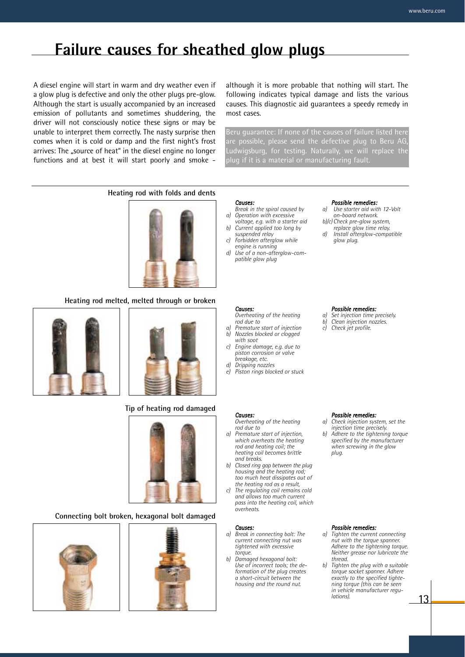### **Failure causes for sheathed glow plugs**

A diesel engine will start in warm and dry weather even if a glow plug is defective and only the other plugs pre-glow. Although the start is usually accompanied by an increased emission of pollutants and sometimes shuddering, the driver will not consciously notice these signs or may be unable to interpret them correctly. The nasty surprise then comes when it is cold or damp and the first night's frost arrives: The "source of heat" in the diesel engine no longer functions and at best it will start poorly and smoke -

although it is more probable that nothing will start. The following indicates typical damage and lists the various causes. This diagnostic aid guarantees a speedy remedy in most cases.

Beru guarantee: If none of the causes of failure listed here are possible, please send the defective plug to Beru AG, Ludwigsburg, for testing. Naturally, we will replace the plug if it is a material or manufacturing fault.

#### **Heating rod with folds and dents**



#### **Heating rod melted, melted through or broken**





#### **Tip of heating rod damaged**



#### **Connecting bolt broken, hexagonal bolt damaged**





#### *Causes:*

- *Break in the spiral caused by a) Operation with excessive*
- *voltage, e.g. with a starter aid b) Current applied too long by suspended relay*
- *c) Forbidden afterglow while engine is running*
- *d) Use of a non-afterglow-compatible glow plug*

#### *Possible remedies:*

- *a) Use starter aid with 12-Volt on-board network.*
- *b)/c) Check pre-glow system, replace glow time relay.*
- *d) Install afterglow-compatible glow plug.*

#### *Possible remedies:*

- *a) Set injection time precisely.*
- *b) Clean injection nozzles.*
- *c) Check jet profile.*

#### *Possible remedies:*

- *a) Check injection system, set the injection time precisely.*
- *b) Adhere to the tightening torque specified by the manufacturer when screwing in the glow plug.*

#### *Possible remedies:*

- *a) Tighten the current connecting nut with the torque spanner. Adhere to the tightening torque. Neither grease nor lubricate the thread.*
- *b) Tighten the plug with a suitable torque socket spanner. Adhere exactly to the specified tightening torque (this can be seen in vehicle manufacturer regulations).*

13

#### *Overheating of the heating rod due to a) Premature start of injection b) Nozzles blocked or clogged*

*with soot c) Engine damage, e.g. due to piston corrosion or valve* 

*Causes:*

*Causes:*

*rod due to*

*and breaks.*

*overheats.*

*Causes:*

*torque.*

- *breakage, etc. d) Dripping nozzles*
- **Piston rings blocked or stuck**

*Overheating of the heating* 

*b) Closed ring gap between the plug housing and the heating rod; too much heat dissipates out of the heating rod as a result, c) The regulating coil remains cold and allows too much current pass into the heating coil, which*

*a) Break in connecting bolt: The current connecting nut was tightened with excessive* 

*b) Damaged hexagonal bolt: Use of incorrect tools; the deformation of the plug creates a short-circuit between the housing and the round nut.*

*a) Premature start of injection, which overheats the heating rod and heating coil; the heating coil becomes brittle*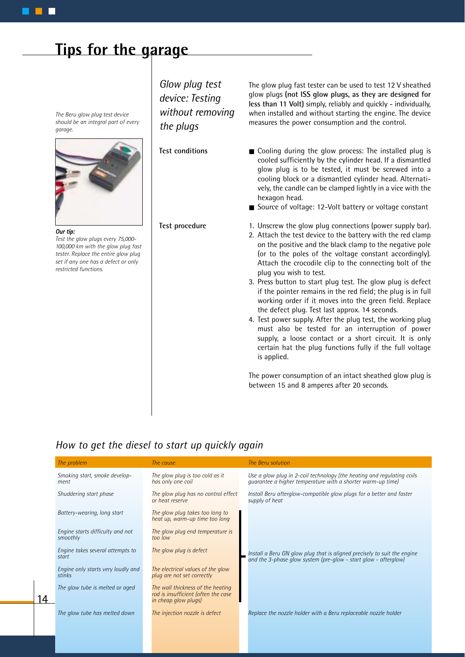### **Tips for the garage**

*The Beru glow plug test device should be an integral part of every garage.*



#### *Our tip:*

14

*Test the glow plugs every 75,000- 100,000 km with the glow plug fast tester. Replace the entire glow plug set if any one has a defect or only restricted functions.*

*Glow plug test device: Testing without removing the plugs*

**Test conditions**

#### **Test procedure**

The glow plug fast tester can be used to test 12 V sheathed glow plugs **(not ISS glow plugs, as they are designed for less than 11 Volt)** simply, reliably and quickly - individually, when installed and without starting the engine. The device measures the power consumption and the control.

■ Cooling during the glow process: The installed plug is cooled sufficiently by the cylinder head. If a dismantled glow plug is to be tested, it must be screwed into a cooling block or a dismantled cylinder head. Alternatively, the candle can be clamped lightly in a vice with the hexagon head.

- Source of voltage: 12-Volt battery or voltage constant
- 1. Unscrew the glow plug connections (power supply bar).
- 2. Attach the test device to the battery with the red clamp on the positive and the black clamp to the negative pole (or to the poles of the voltage constant accordingly). Attach the crocodile clip to the connecting bolt of the plug you wish to test.
- 3. Press button to start plug test. The glow plug is defect if the pointer remains in the red field; the plug is in full working order if it moves into the green field. Replace the defect plug. Test last approx. 14 seconds.
- 4. Test power supply. After the plug test, the working plug must also be tested for an interruption of power supply, a loose contact or a short circuit. It is only certain hat the plug functions fully if the full voltage is applied.

The power consumption of an intact sheathed glow plug is between 15 and 8 amperes after 20 seconds.

#### *How to get the diesel to start up quickly again*

| The problem                                  | The cause                                                                                        | The Beru solution                                                                                                                           |
|----------------------------------------------|--------------------------------------------------------------------------------------------------|---------------------------------------------------------------------------------------------------------------------------------------------|
| Smoking start, smoke develop-<br>ment        | The glow plug is too cold as it<br>has only one coil                                             | Use a glow plug in 2-coil technology (the heating and regulating coils<br>quarantee a higher temperature with a shorter warm-up time)       |
| Shuddering start phase                       | The glow plug has no control effect<br>or heat reserve                                           | Install Beru afterglow-compatible glow plugs for a better and faster<br>supply of heat                                                      |
| Battery-wearing, long start                  | The glow plug takes too long to<br>heat up, warm-up time too long                                |                                                                                                                                             |
| Engine starts difficulty and not<br>smoothly | The glow plug end temperature is<br>too low                                                      |                                                                                                                                             |
| Engine takes several attempts to<br>start    | The glow plug is defect                                                                          | Install a Beru GN glow plug that is aligned precisely to suit the engine<br>and the 3-phase glow system (pre-glow - start glow - afterglow) |
| Engine only starts very loudly and<br>stinks | The electrical values of the glow<br>plug are not set correctly                                  |                                                                                                                                             |
| The glow tube is melted or aged              | The wall thickness of the heating<br>rod is insufficient (often the case<br>in cheap glow plugs) |                                                                                                                                             |
| The glow tube has melted down                | The injection nozzle is defect                                                                   | Replace the nozzle holder with a Beru replaceable nozzle holder                                                                             |
|                                              |                                                                                                  |                                                                                                                                             |
|                                              |                                                                                                  |                                                                                                                                             |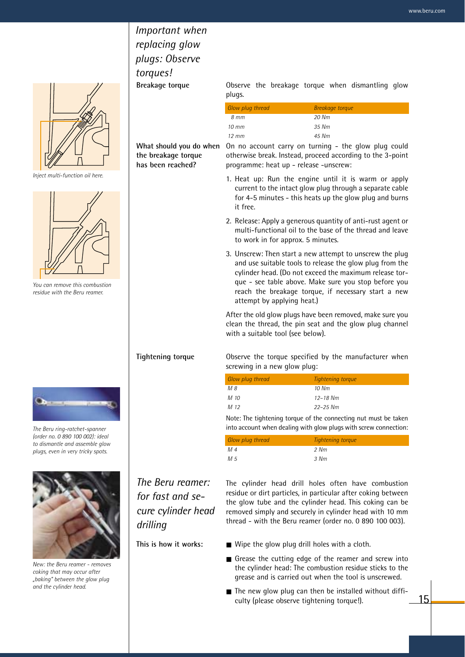### *Important when replacing glow plugs: Observe torques!* **Breakage torque**

 $\overline{'}$ 

 $\mathbf{L}$ 

*Inject multi-function oil here.*



*You can remove this combustion residue with the Beru reamer.*



*The Beru ring-ratchet-spanner (order no. 0 890 100 002): ideal to dismantle and assemble glow plugs, even in very tricky spots.*



*New: the Beru reamer - removes coking that may occur after "baking" between the glow plug and the cylinder head.*

Observe the breakage torque when dismantling glow plugs.

| Glow plug thread  | Breakage torque |
|-------------------|-----------------|
| 8 mm              | 20 Nm           |
| 10 mm             | $.35$ Nm        |
| $12 \, \text{mm}$ | 45 Nm           |
|                   |                 |

**the breakage torque has been reached?**

What should you do when On no account carry on turning - the glow plug could otherwise break. Instead, proceed according to the 3-point programme: heat up - release -unscrew:

- 1. Heat up: Run the engine until it is warm or apply current to the intact glow plug through a separate cable for 4-5 minutes - this heats up the glow plug and burns it free.
- 2. Release: Apply a generous quantity of anti-rust agent or multi-functional oil to the base of the thread and leave to work in for approx. 5 minutes.
- 3. Unscrew: Then start a new attempt to unscrew the plug and use suitable tools to release the glow plug from the cylinder head. (Do not exceed the maximum release torque - see table above. Make sure you stop before you reach the breakage torque, if necessary start a new attempt by applying heat.)

After the old glow plugs have been removed, make sure you clean the thread, the pin seat and the glow plug channel with a suitable tool (see below).

Observe the torque specified by the manufacturer when screwing in a new glow plug:

| Glow plug thread | Tightening torque |
|------------------|-------------------|
| M 8              | 10 Nm             |
| M 10             | $12 - 18$ Nm      |
| M 12             | $22 - 25$ Nm      |

Note: The tightening torque of the connecting nut must be taken into account when dealing with glow plugs with screw connection:

| Glow plug thread | Tightening torque |
|------------------|-------------------|
| M 4              | 2 Nm              |
| M 5              | 3 Nm              |

*The Beru reamer: for fast and secure cylinder head drilling*

**Tightening torque**

The cylinder head drill holes often have combustion residue or dirt particles, in particular after coking between the glow tube and the cylinder head. This coking can be removed simply and securely in cylinder head with 10 mm thread - with the Beru reamer (order no. 0 890 100 003).

**This is how it works:**

- Wipe the glow plug drill holes with a cloth.
- Grease the cutting edge of the reamer and screw into the cylinder head: The combustion residue sticks to the grease and is carried out when the tool is unscrewed.
- The new glow plug can then be installed without difficulty (please observe tightening torque!).